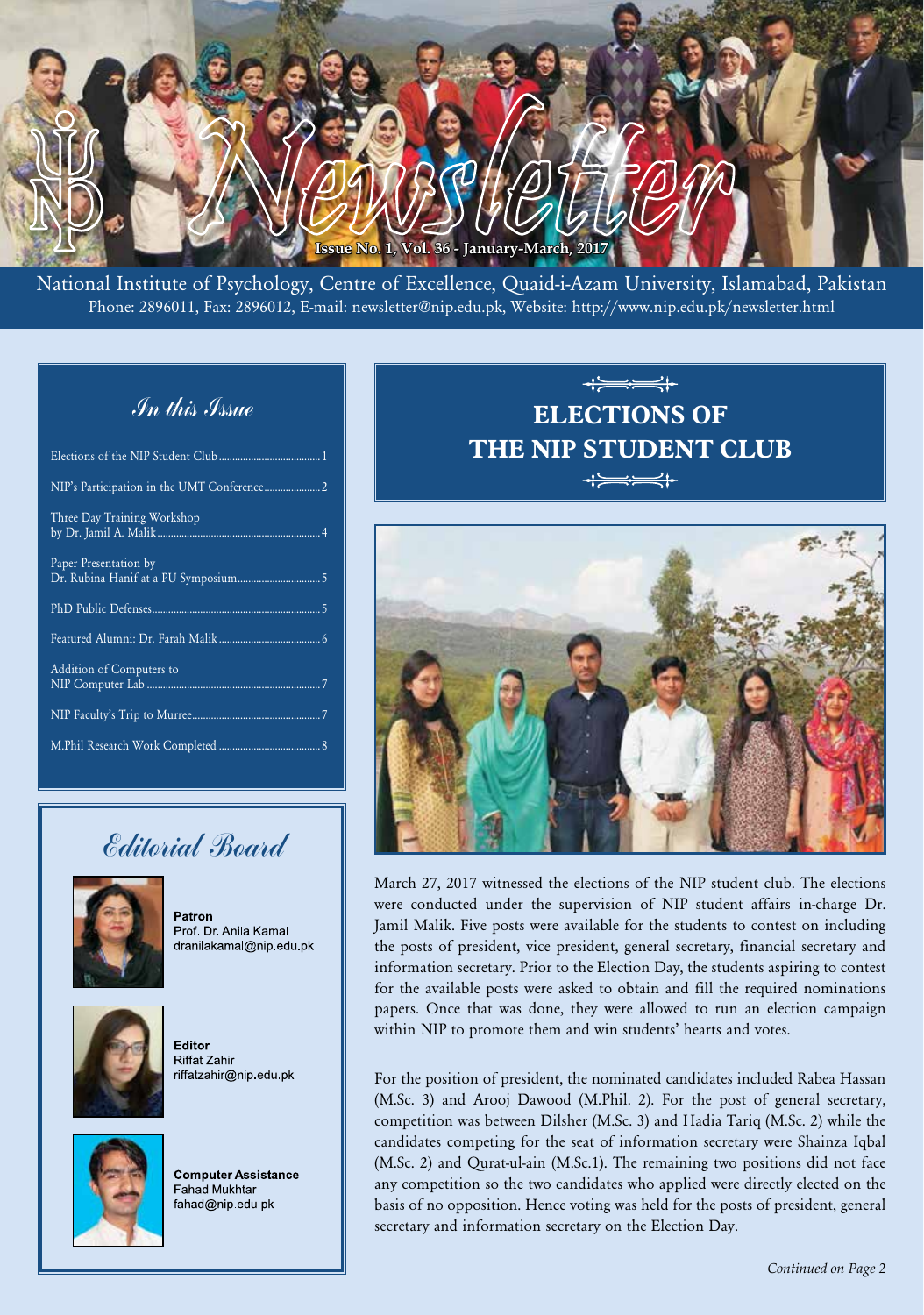

National Institute of Psychology, Centre of Excellence, Quaid-i-Azam University, Islamabad, Pakistan Phone: 2896011, Fax: 2896012, E-mail: newsletter@nip.edu.pk, Website: http://www.nip.edu.pk/newsletter.html

# In this Issue

| Three Day Training Workshop |
|-----------------------------|
| Paper Presentation by       |
|                             |
|                             |
| Addition of Computers to    |
|                             |
|                             |

# Editorial Board



Patron Prof. Dr. Anila Kamal dranilakamal@nip.edu.pk



**Editor** Riffat Zahir riffatzahir@nip.edu.pk



**Computer Assistance Fahad Mukhtar** fahad@nip.edu.pk

# $+\implies$ **ELECTIONS OF THE NIP STUDENT CLUB**  $+ = - +$



March 27, 2017 witnessed the elections of the NIP student club. The elections were conducted under the supervision of NIP student affairs in-charge Dr. Jamil Malik. Five posts were available for the students to contest on including the posts of president, vice president, general secretary, financial secretary and information secretary. Prior to the Election Day, the students aspiring to contest for the available posts were asked to obtain and fill the required nominations papers. Once that was done, they were allowed to run an election campaign within NIP to promote them and win students' hearts and votes.

For the position of president, the nominated candidates included Rabea Hassan (M.Sc. 3) and Arooj Dawood (M.Phil. 2). For the post of general secretary, competition was between Dilsher (M.Sc. 3) and Hadia Tariq (M.Sc. 2) while the candidates competing for the seat of information secretary were Shainza Iqbal (M.Sc. 2) and Qurat-ul-ain (M.Sc.1). The remaining two positions did not face any competition so the two candidates who applied were directly elected on the basis of no opposition. Hence voting was held for the posts of president, general secretary and information secretary on the Election Day.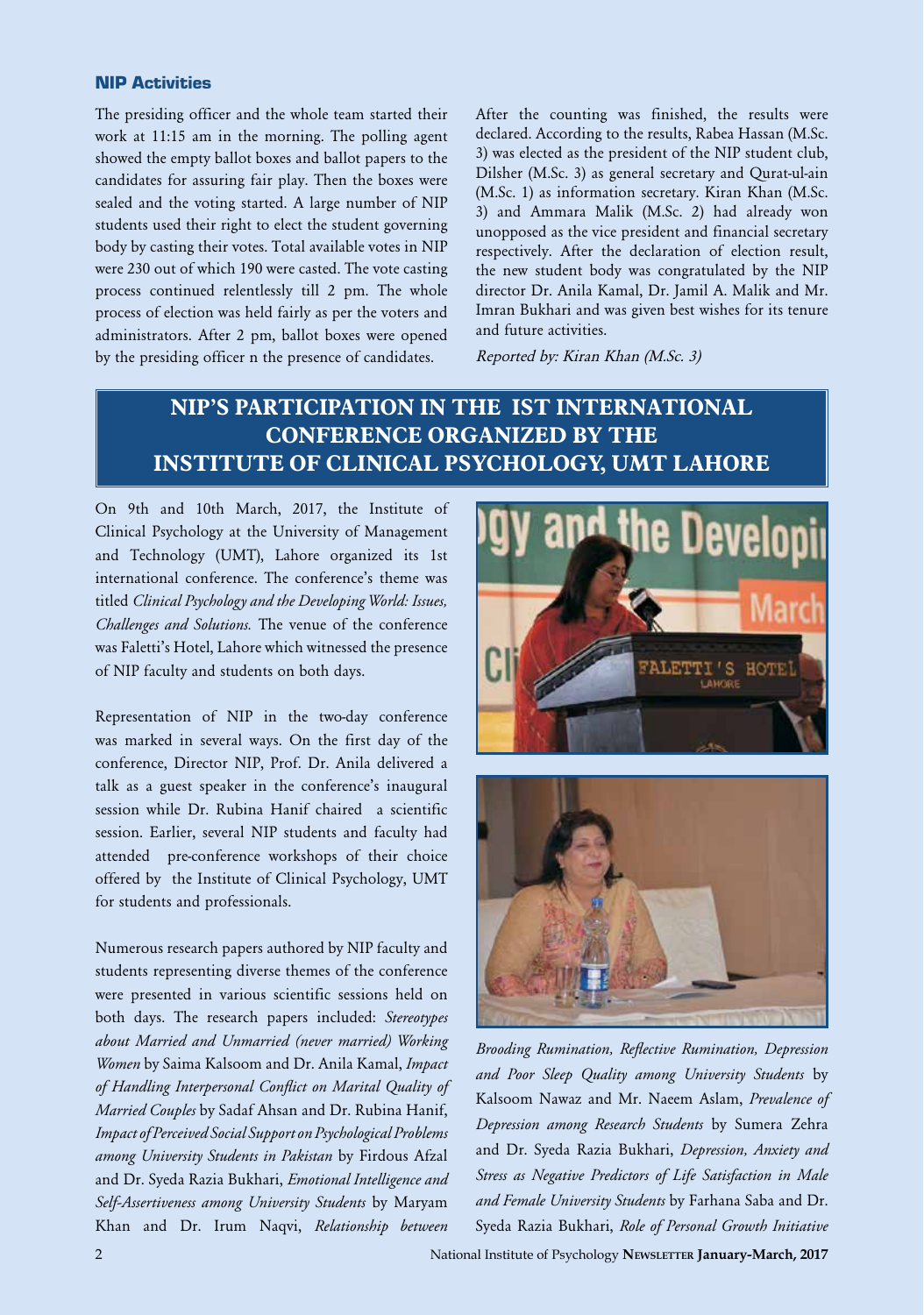#### NIP Activities

The presiding officer and the whole team started their work at 11:15 am in the morning. The polling agent showed the empty ballot boxes and ballot papers to the candidates for assuring fair play. Then the boxes were sealed and the voting started. A large number of NIP students used their right to elect the student governing body by casting their votes. Total available votes in NIP were 230 out of which 190 were casted. The vote casting process continued relentlessly till 2 pm. The whole process of election was held fairly as per the voters and administrators. After 2 pm, ballot boxes were opened by the presiding officer n the presence of candidates.

After the counting was finished, the results were declared. According to the results, Rabea Hassan (M.Sc. 3) was elected as the president of the NIP student club, Dilsher (M.Sc. 3) as general secretary and Qurat-ul-ain (M.Sc. 1) as information secretary. Kiran Khan (M.Sc. 3) and Ammara Malik (M.Sc. 2) had already won unopposed as the vice president and financial secretary respectively. After the declaration of election result, the new student body was congratulated by the NIP director Dr. Anila Kamal, Dr. Jamil A. Malik and Mr. Imran Bukhari and was given best wishes for its tenure and future activities.

Reported by: Kiran Khan (M.Sc. 3)

# **NIP'S PARTICIPATION IN THE IST INTERNATIONAL CONFERENCE ORGANIZED BY THE INSTITUTE OF CLINICAL PSYCHOLOGY, UMT LAHORE**

On 9th and 10th March, 2017, the Institute of Clinical Psychology at the University of Management and Technology (UMT), Lahore organized its 1st international conference. The conference's theme was titled *Clinical Psychology and the Developing World: Issues, Challenges and Solutions.* The venue of the conference was Faletti's Hotel, Lahore which witnessed the presence of NIP faculty and students on both days.

Representation of NIP in the two-day conference was marked in several ways. On the first day of the conference, Director NIP, Prof. Dr. Anila delivered a talk as a guest speaker in the conference's inaugural session while Dr. Rubina Hanif chaired a scientific session. Earlier, several NIP students and faculty had attended pre-conference workshops of their choice offered by the Institute of Clinical Psychology, UMT for students and professionals.

Numerous research papers authored by NIP faculty and students representing diverse themes of the conference were presented in various scientific sessions held on both days. The research papers included: *Stereotypes about Married and Unmarried (never married) Working Women* by Saima Kalsoom and Dr. Anila Kamal, *Impact of Handling Interpersonal Conflict on Marital Quality of Married Couples* by Sadaf Ahsan and Dr. Rubina Hanif, *Impact of Perceived Social Support on Psychological Problems among University Students in Pakistan* by Firdous Afzal and Dr. Syeda Razia Bukhari, *Emotional Intelligence and Self-Assertiveness among University Students* by Maryam Khan and Dr. Irum Naqvi, *Relationship between* 





*Brooding Rumination, Reflective Rumination, Depression and Poor Sleep Quality among University Students* by Kalsoom Nawaz and Mr. Naeem Aslam, *Prevalence of Depression among Research Students* by Sumera Zehra and Dr. Syeda Razia Bukhari, *Depression, Anxiety and Stress as Negative Predictors of Life Satisfaction in Male and Female University Students* by Farhana Saba and Dr. Syeda Razia Bukhari, *Role of Personal Growth Initiative*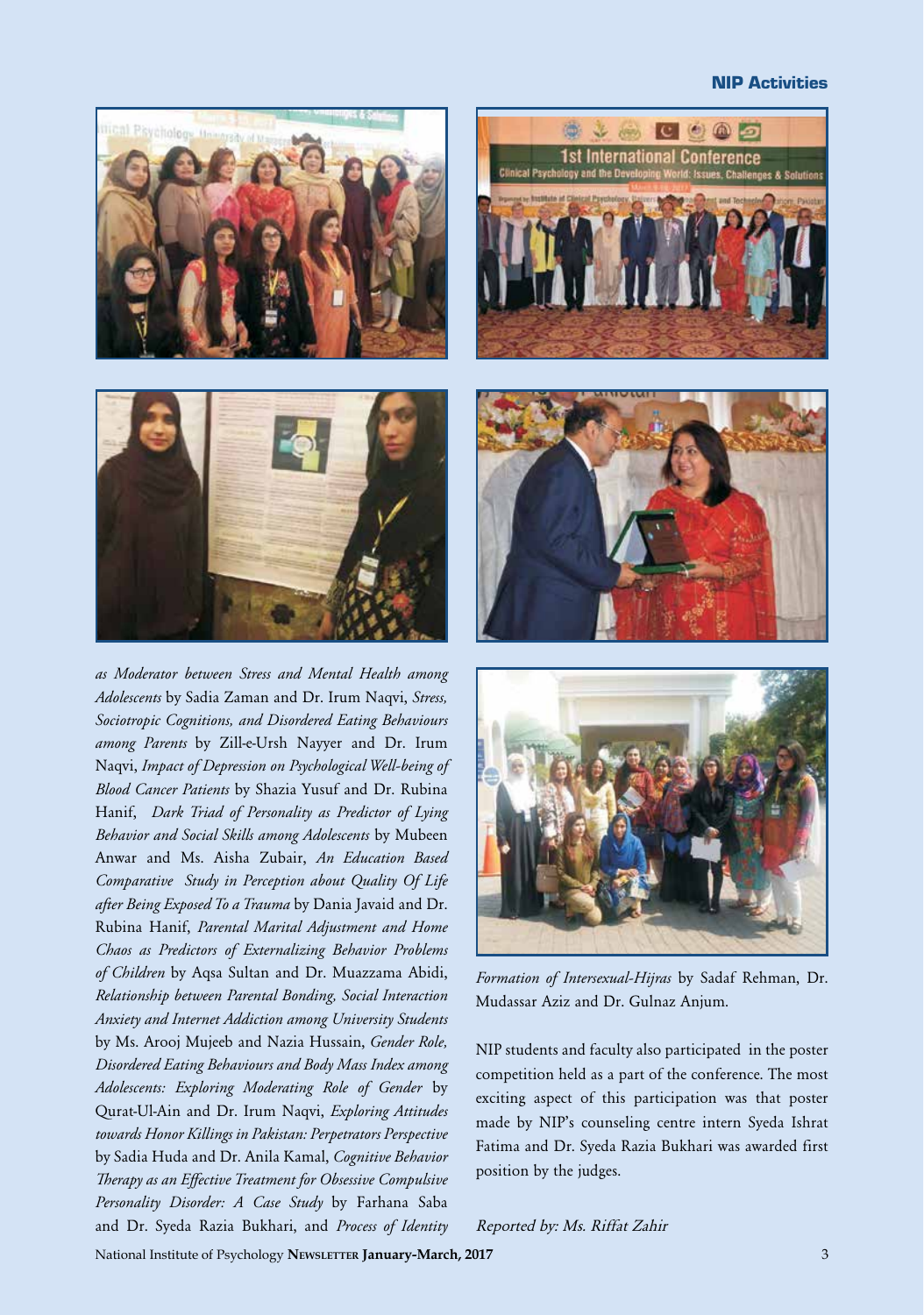#### NIP Activities





*as Moderator between Stress and Mental Health among Adolescents* by Sadia Zaman and Dr. Irum Naqvi, *Stress, Sociotropic Cognitions, and Disordered Eating Behaviours among Parents* by Zill-e-Ursh Nayyer and Dr. Irum Naqvi, *Impact of Depression on Psychological Well-being of Blood Cancer Patients* by Shazia Yusuf and Dr. Rubina Hanif, *Dark Triad of Personality as Predictor of Lying Behavior and Social Skills among Adolescents* by Mubeen Anwar and Ms. Aisha Zubair, *An Education Based Comparative Study in Perception about Quality Of Life after Being Exposed To a Trauma* by Dania Javaid and Dr. Rubina Hanif, *Parental Marital Adjustment and Home Chaos as Predictors of Externalizing Behavior Problems of Children* by Aqsa Sultan and Dr. Muazzama Abidi, *Relationship between Parental Bonding, Social Interaction Anxiety and Internet Addiction among University Students*  by Ms. Arooj Mujeeb and Nazia Hussain, *Gender Role, Disordered Eating Behaviours and Body Mass Index among Adolescents: Exploring Moderating Role of Gender* by Qurat-Ul-Ain and Dr. Irum Naqvi, *Exploring Attitudes towards Honor Killings in Pakistan: Perpetrators Perspective* by Sadia Huda and Dr. Anila Kamal, *Cognitive Behavior Therapy as an Effective Treatment for Obsessive Compulsive Personality Disorder: A Case Study* by Farhana Saba and Dr. Syeda Razia Bukhari, and *Process of Identity* 







*Formation of Intersexual-Hijras* by Sadaf Rehman, Dr. Mudassar Aziz and Dr. Gulnaz Anjum.

NIP students and faculty also participated in the poster competition held as a part of the conference. The most exciting aspect of this participation was that poster made by NIP's counseling centre intern Syeda Ishrat Fatima and Dr. Syeda Razia Bukhari was awarded first position by the judges.

#### Reported by: Ms. Riffat Zahir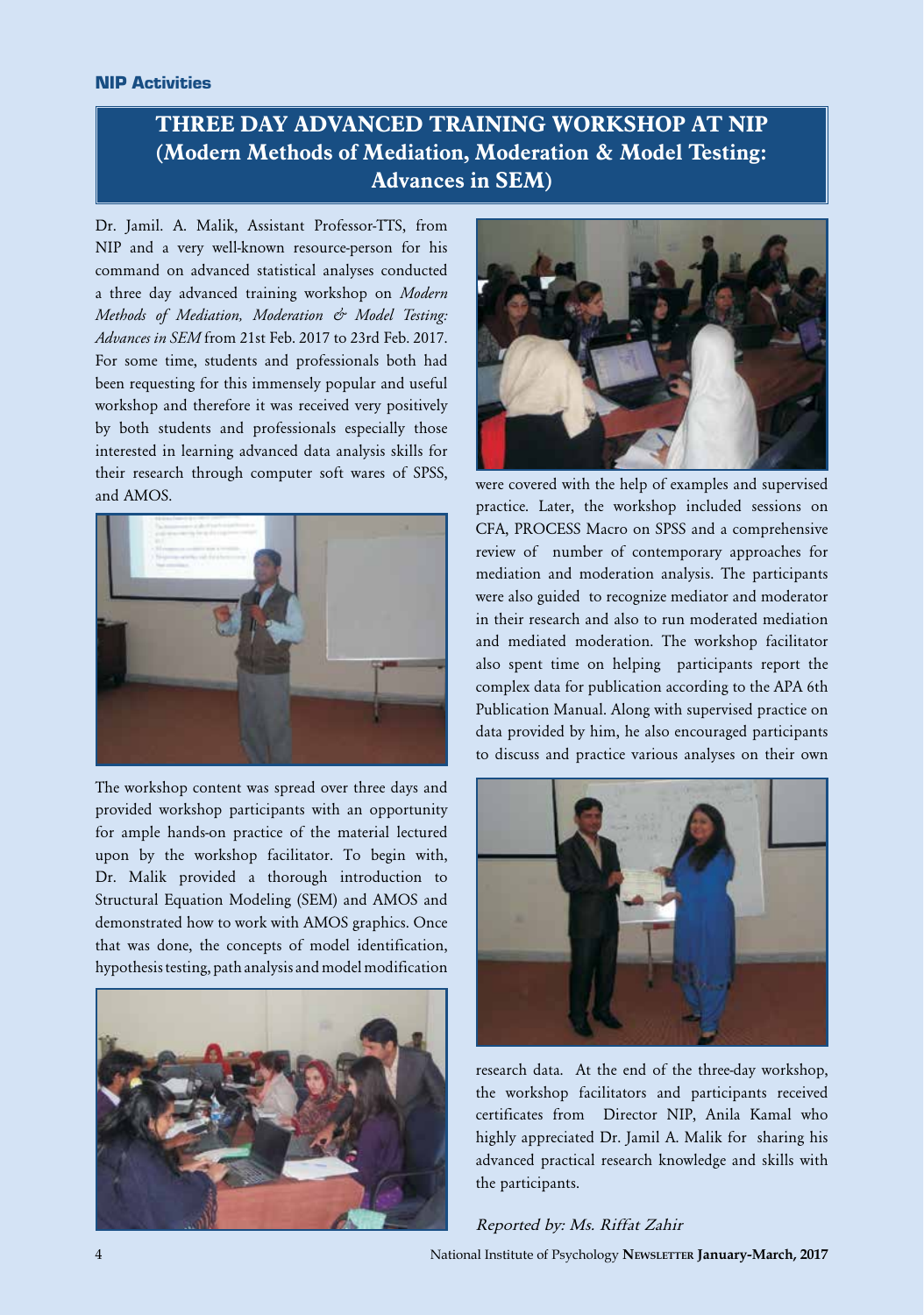# **THREE DAY ADVANCED TRAINING WORKSHOP AT NIP (Modern Methods of Mediation, Moderation & Model Testing: Advances in SEM)**

Dr. Jamil. A. Malik, Assistant Professor-TTS, from NIP and a very well-known resource-person for his command on advanced statistical analyses conducted a three day advanced training workshop on *Modern Methods of Mediation, Moderation & Model Testing: Advances in SEM* from 21st Feb. 2017 to 23rd Feb. 2017. For some time, students and professionals both had been requesting for this immensely popular and useful workshop and therefore it was received very positively by both students and professionals especially those interested in learning advanced data analysis skills for their research through computer soft wares of SPSS, and AMOS.



The workshop content was spread over three days and provided workshop participants with an opportunity for ample hands-on practice of the material lectured upon by the workshop facilitator. To begin with, Dr. Malik provided a thorough introduction to Structural Equation Modeling (SEM) and AMOS and demonstrated how to work with AMOS graphics. Once that was done, the concepts of model identification, hypothesis testing, path analysis and model modification





were covered with the help of examples and supervised practice. Later, the workshop included sessions on CFA, PROCESS Macro on SPSS and a comprehensive review of number of contemporary approaches for mediation and moderation analysis. The participants were also guided to recognize mediator and moderator in their research and also to run moderated mediation and mediated moderation. The workshop facilitator also spent time on helping participants report the complex data for publication according to the APA 6th Publication Manual. Along with supervised practice on data provided by him, he also encouraged participants to discuss and practice various analyses on their own



research data. At the end of the three-day workshop, the workshop facilitators and participants received certificates from Director NIP, Anila Kamal who highly appreciated Dr. Jamil A. Malik for sharing his advanced practical research knowledge and skills with the participants.

#### Reported by: Ms. Riffat Zahir

4 National Institute of Psychology **Newsletter January-March, 2017**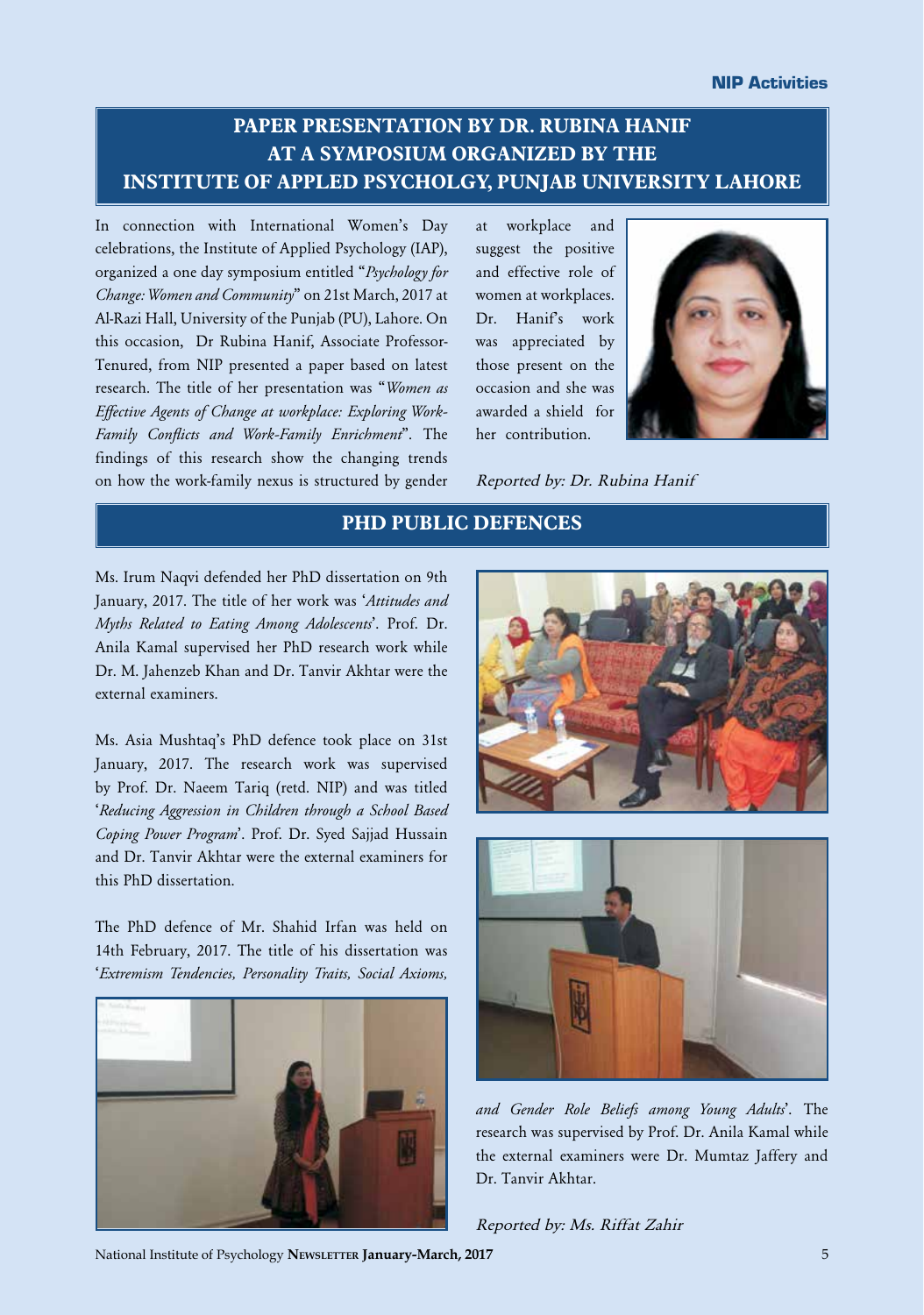#### NIP Activities

## **PAPER PRESENTATION BY DR. RUBINA HANIF AT A SYMPOSIUM ORGANIZED BY THE INSTITUTE OF APPLED PSYCHOLGY, PUNJAB UNIVERSITY LAHORE**

In connection with International Women's Day celebrations, the Institute of Applied Psychology (IAP), organized a one day symposium entitled "*Psychology for Change: Women and Community*" on 21st March, 2017 at Al-Razi Hall, University of the Punjab (PU), Lahore. On this occasion, Dr Rubina Hanif, Associate Professor-Tenured, from NIP presented a paper based on latest research. The title of her presentation was "*Women as Effective Agents of Change at workplace: Exploring Work-Family Conflicts and Work-Family Enrichment*". The findings of this research show the changing trends on how the work-family nexus is structured by gender

at workplace and suggest the positive and effective role of women at workplaces. Dr. Hanif's work was appreciated by those present on the occasion and she was awarded a shield for her contribution.



Reported by: Dr. Rubina Hanif

### **PHD PUBLIC DEFENCES**

Ms. Irum Naqvi defended her PhD dissertation on 9th January, 2017. The title of her work was '*Attitudes and Myths Related to Eating Among Adolescents*'. Prof. Dr. Anila Kamal supervised her PhD research work while Dr. M. Jahenzeb Khan and Dr. Tanvir Akhtar were the external examiners.

Ms. Asia Mushtaq's PhD defence took place on 31st January, 2017. The research work was supervised by Prof. Dr. Naeem Tariq (retd. NIP) and was titled '*Reducing Aggression in Children through a School Based Coping Power Program*'. Prof. Dr. Syed Sajjad Hussain and Dr. Tanvir Akhtar were the external examiners for this PhD dissertation.

The PhD defence of Mr. Shahid Irfan was held on 14th February, 2017. The title of his dissertation was '*Extremism Tendencies, Personality Traits, Social Axioms,* 







*and Gender Role Beliefs among Young Adults*'. The research was supervised by Prof. Dr. Anila Kamal while the external examiners were Dr. Mumtaz Jaffery and Dr. Tanvir Akhtar.

Reported by: Ms. Riffat Zahir

National Institute of Psychology **Newsletter January-March, 2017** 5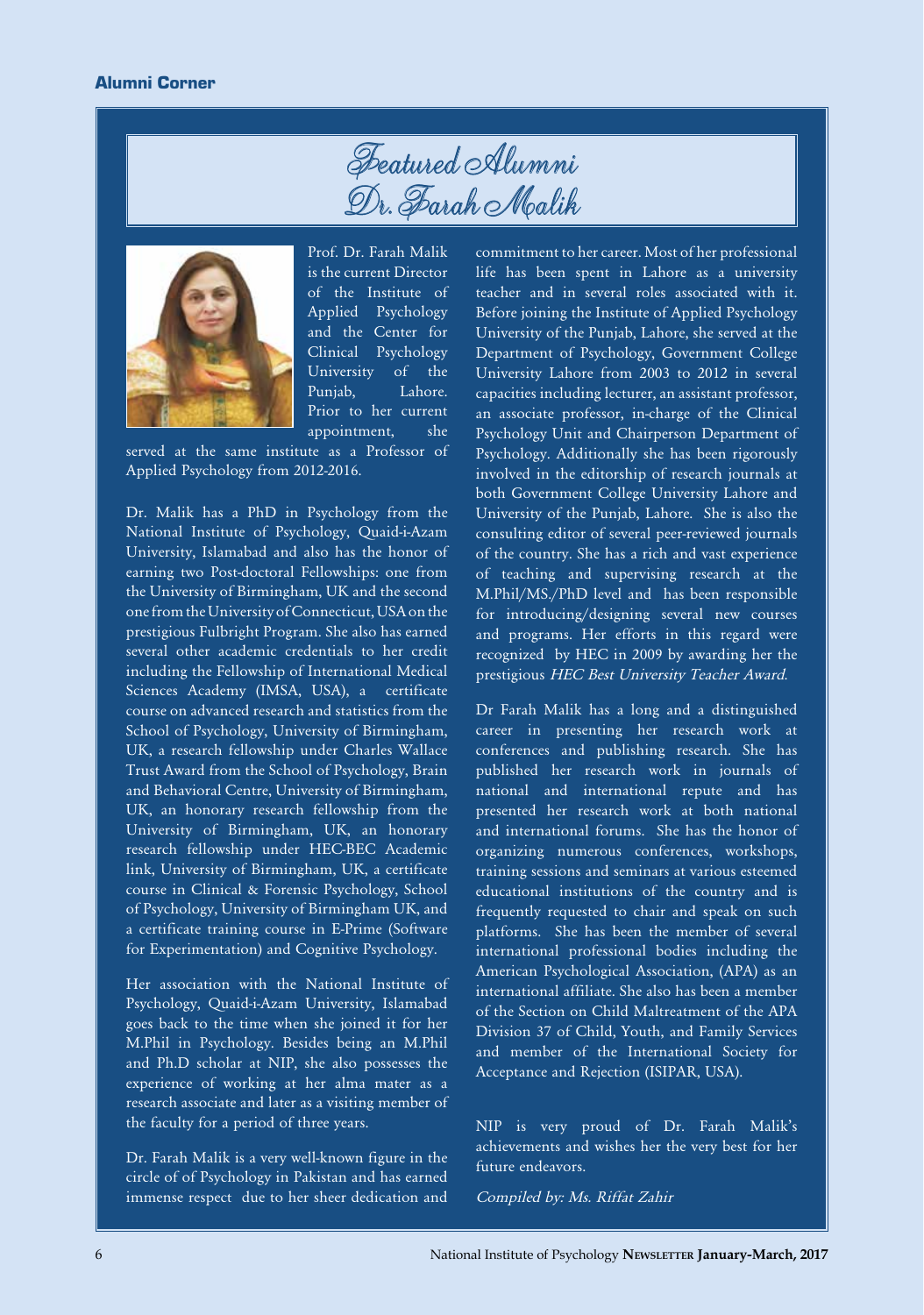



Prof. Dr. Farah Malik is the current Director of the Institute of Applied Psychology and the Center for Clinical Psychology University of the Punjab, Lahore. Prior to her current appointment, she

served at the same institute as a Professor of Applied Psychology from 2012-2016.

Dr. Malik has a PhD in Psychology from the National Institute of Psychology, Quaid-i-Azam University, Islamabad and also has the honor of earning two Post-doctoral Fellowships: one from the University of Birmingham, UK and the second one from the University of Connecticut, USA on the prestigious Fulbright Program. She also has earned several other academic credentials to her credit including the Fellowship of International Medical Sciences Academy (IMSA, USA), a certificate course on advanced research and statistics from the School of Psychology, University of Birmingham, UK, a research fellowship under Charles Wallace Trust Award from the School of Psychology, Brain and Behavioral Centre, University of Birmingham, UK, an honorary research fellowship from the University of Birmingham, UK, an honorary research fellowship under HEC-BEC Academic link, University of Birmingham, UK, a certificate course in Clinical & Forensic Psychology, School of Psychology, University of Birmingham UK, and a certificate training course in E-Prime (Software for Experimentation) and Cognitive Psychology.

Her association with the National Institute of Psychology, Quaid-i-Azam University, Islamabad goes back to the time when she joined it for her M.Phil in Psychology. Besides being an M.Phil and Ph.D scholar at NIP, she also possesses the experience of working at her alma mater as a research associate and later as a visiting member of the faculty for a period of three years.

Dr. Farah Malik is a very well-known figure in the circle of of Psychology in Pakistan and has earned immense respect due to her sheer dedication and

commitment to her career. Most of her professional life has been spent in Lahore as a university teacher and in several roles associated with it. Before joining the Institute of Applied Psychology University of the Punjab, Lahore, she served at the Department of Psychology, Government College University Lahore from 2003 to 2012 in several capacities including lecturer, an assistant professor, an associate professor, in-charge of the Clinical Psychology Unit and Chairperson Department of Psychology. Additionally she has been rigorously involved in the editorship of research journals at both Government College University Lahore and University of the Punjab, Lahore. She is also the consulting editor of several peer-reviewed journals of the country. She has a rich and vast experience of teaching and supervising research at the M.Phil/MS./PhD level and has been responsible for introducing/designing several new courses and programs. Her efforts in this regard were recognized by HEC in 2009 by awarding her the prestigious HEC Best University Teacher Award.

Dr Farah Malik has a long and a distinguished career in presenting her research work at conferences and publishing research. She has published her research work in journals of national and international repute and has presented her research work at both national and international forums. She has the honor of organizing numerous conferences, workshops, training sessions and seminars at various esteemed educational institutions of the country and is frequently requested to chair and speak on such platforms. She has been the member of several international professional bodies including the American Psychological Association, (APA) as an international affiliate. She also has been a member of the Section on Child Maltreatment of the APA Division 37 of Child, Youth, and Family Services and member of the International Society for Acceptance and Rejection (ISIPAR, USA).

NIP is very proud of Dr. Farah Malik's achievements and wishes her the very best for her future endeavors.

Compiled by: Ms. Riffat Zahir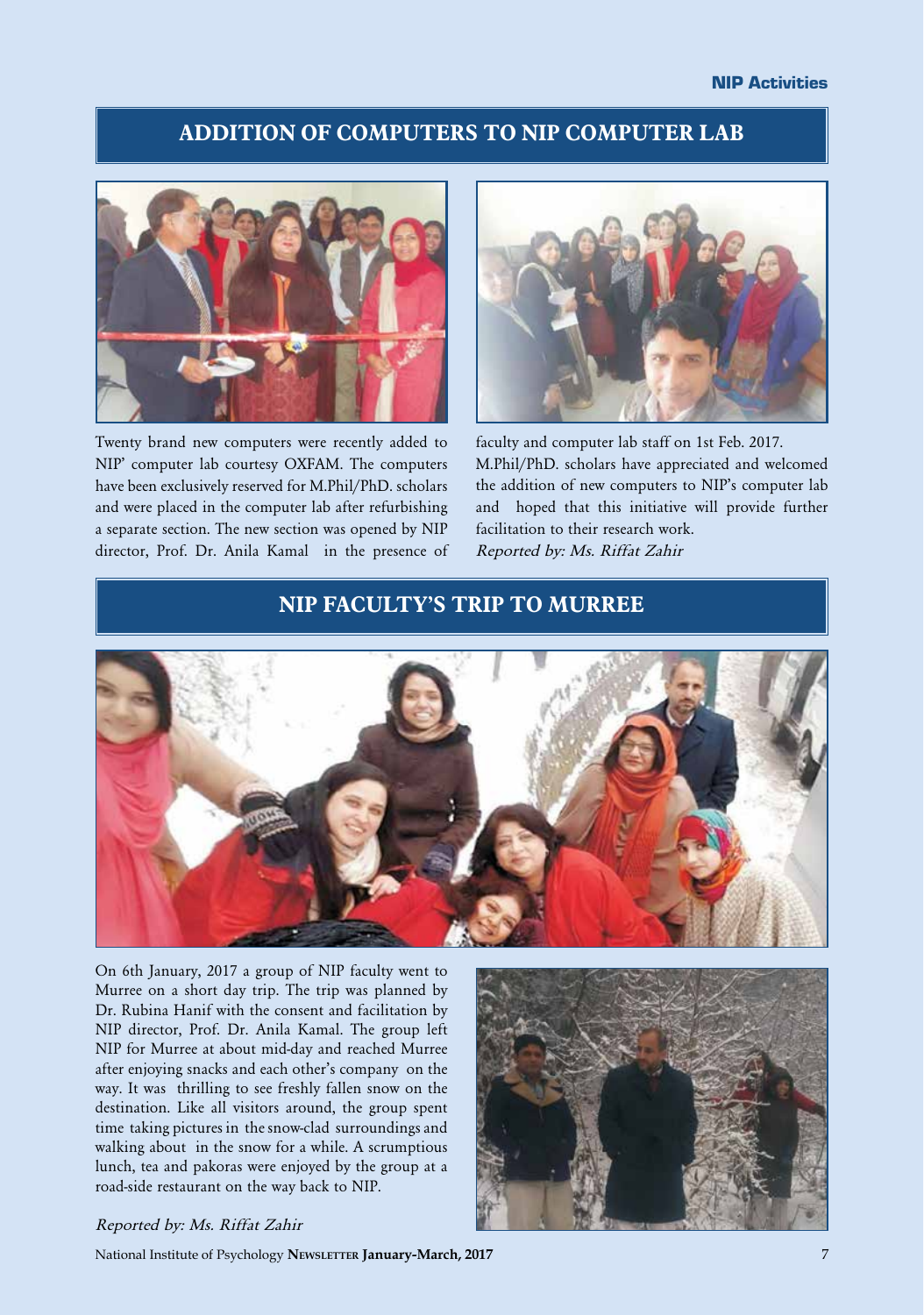### **ADDITION OF COMPUTERS TO NIP COMPUTER LAB**



Twenty brand new computers were recently added to NIP' computer lab courtesy OXFAM. The computers have been exclusively reserved for M.Phil/PhD. scholars and were placed in the computer lab after refurbishing a separate section. The new section was opened by NIP director, Prof. Dr. Anila Kamal in the presence of



faculty and computer lab staff on 1st Feb. 2017. M.Phil/PhD. scholars have appreciated and welcomed the addition of new computers to NIP's computer lab and hoped that this initiative will provide further facilitation to their research work. Reported by: Ms. Riffat Zahir

### **NIP FACULTY'S TRIP TO MURREE**



On 6th January, 2017 a group of NIP faculty went to Murree on a short day trip. The trip was planned by Dr. Rubina Hanif with the consent and facilitation by NIP director, Prof. Dr. Anila Kamal. The group left NIP for Murree at about mid-day and reached Murree after enjoying snacks and each other's company on the way. It was thrilling to see freshly fallen snow on the destination. Like all visitors around, the group spent time taking pictures in the snow-clad surroundings and walking about in the snow for a while. A scrumptious lunch, tea and pakoras were enjoyed by the group at a road-side restaurant on the way back to NIP.



#### Reported by: Ms. Riffat Zahir

National Institute of Psychology **Newsletter January-March, 2017** 7